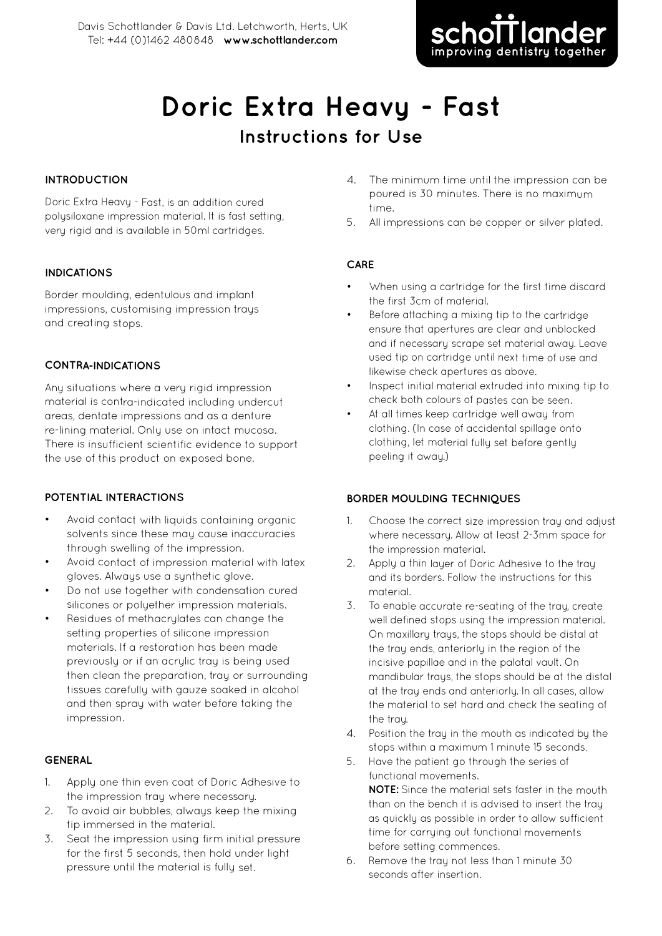

# **Doric Extra Heavy - Fast Instructions for Use**

#### **INTRODUCTION**

Doric Extra Heavy - Fast, is an addition cured polysiloxane impression material. It is fast setting, very rigid and is available in 50ml cartridges.

#### **INDICATIONS**

Border moulding, edentulous and implant impressions, customising impression trays and creating stops.

#### **CONTRA-INDICATIONS**

Any situations where <sup>a</sup> very rigid impression material is contra-indicated including undercut areas, dentate impressions and as <sup>a</sup> denture re-lining material. Only use on intact mucosa. There is insufficient scientific evidence to support the use of this product on exposed bone.

## **POTENTIAL INTERACTIONS**

- Avoid contact with liquids containing organic solvents since these may cause inaccuracies through swelling of the impression.
- Avoid contact of impression material with latex gloves. Always use <sup>a</sup> synthetic glove.
- Do not use together with condensation cured silicones or polyether impression materials.
- Residues of methacrylates can change the setting properties of silicone impression materials. If <sup>a</sup> restoration has been made previously or if an acrylic tray is being used then clean the preparation, tray or surrounding tissues carefully with gauze soaked in alcohol and then spray with water before taking the impression.

## **GENERAL**

- 1. Apply one thin even coat of Doric Adhesive to the impression tray where necessary.
- 2. To avoid air bubbles, always keep the mixing tip immersed in the material.
- 3. Seat the impression using firm initial pressure for the first 5 seconds, then hold under light pressure until the material is fully set.
- 4. The minimum time until the impression can be poured is 30 minutes. There is no maximum time.
- 5. All impressions can be copper or silver plated.

## **CARE**

- When using <sup>a</sup> cartridge for the first time discard the first 3cm of material.
- Before attaching <sup>a</sup> mixing tip to the cartridge ensure that apertures are clear and unblocked and if necessary scrape set material away. Leave used tip on cartridge until next time of use and likewise check apertures as above
- Inspect initial material extruded into mixing tip to check both colours of pastes can be seen.
- • At all times keep cartridge well away from clothing. (In case of accidental spillage onto clothing, let material fully set before gently peeling it away.)

## **BORDER MOULDING TECHNIQUES**

- 1. Choose the correct size impression tray and adjust where necessary. Allow at least 2-3mm space for the impression material.
- 2. Apply <sup>a</sup> thin layer of Doric Adhesive to the tray and its borders. Follow the instructions for this material.
- 3. To enable accurate re-seating of the tray, create well defined stops using the impression material. On maxillary trays, the stops should be distal at the tray ends, anteriorly in the region of the incisive papillae and in the palatal vault. On mandibular trays, the stops should be at the distal at the tray ends and anteriorly. In all cases, allow the material to set hard and check the seating of the tray.
- 4. Position the tray in the mouth as indicated by the stops within <sup>a</sup> maximum 1 minute 15 seconds.
- 5. Have the patient go through the series of functional movements. **NOTE:** Since the material sets faster in the mouth than on the bench it is advised to insert the tray as quickly as possible in order to allow sufficient time for carruing out functional movements before setting commences.
- 6. Remove the tray not less than 1 minute 30 seconds after insertion.